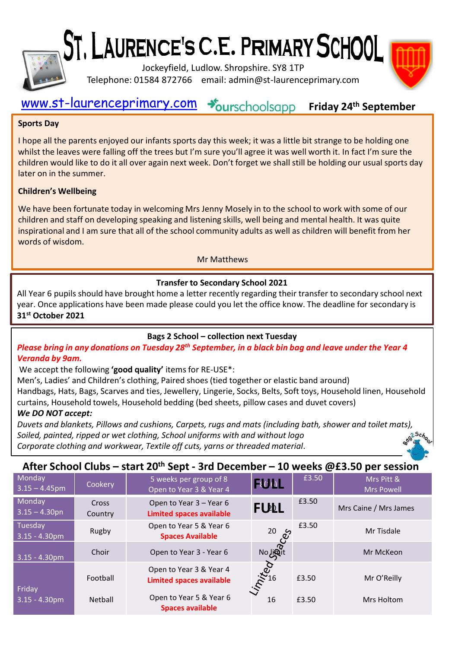

# ST, LAURENCE'S C.E. PRIMARY SCHOOL

Jockeyfield, Ludlow. Shropshire. SY8 1TP Telephone: 01584 872766 email: admin@st-laurenceprimary.com



#### [www.st-laurenceprimary.com](http://www.st-laurenceprimary.com/) +burschoolsapp **Friday 24th September**

# **Sports Day**

I hope all the parents enjoyed our infants sports day this week; it was a little bit strange to be holding one whilst the leaves were falling off the trees but I'm sure you'll agree it was well worth it. In fact I'm sure the children would like to do it all over again next week. Don't forget we shall still be holding our usual sports day later on in the summer.

# **Children's Wellbeing**

We have been fortunate today in welcoming Mrs Jenny Mosely in to the school to work with some of our children and staff on developing speaking and listening skills, well being and mental health. It was quite inspirational and I am sure that all of the school community adults as well as children will benefit from her words of wisdom.

#### Mr Matthews

### **Transfer to Secondary School 2021**

All Year 6 pupils should have brought home a letter recently regarding their transfer to secondary school next year. Once applications have been made please could you let the office know. The deadline for secondary is **31st October 2021**

#### **Bags 2 School – collection next Tuesday**

*Please bring in any donations on Tuesday 28th September, in a black bin bag and leave under the Year 4 Veranda by 9am.* 

We accept the following **'good quality'** items for RE-USE\*:

Men's, Ladies' and Children's clothing, Paired shoes (tied together or elastic band around)

Handbags, Hats, Bags, Scarves and ties, Jewellery, Lingerie, Socks, Belts, Soft toys, Household linen, Household curtains, Household towels, Household bedding (bed sheets, pillow cases and duvet covers)

## *We DO NOT accept:*

*Duvets and blankets, Pillows and cushions, Carpets, rugs and mats (including bath, shower and toilet mats), Soiled, painted, ripped or wet clothing, School uniforms with and without logo Corporate clothing and workwear, Textile off cuts, yarns or threaded material*.

# **After School Clubs – start 20th Sept - 3rd December – 10 weeks @£3.50 per session**

| Monday<br>$3.15 - 4.45$ pm  | Cookery          | 5 weeks per group of 8<br>Open to Year 3 & Year 4          | FedaL       | £3.50 | Mrs Pitt &<br><b>Mrs Powell</b> |
|-----------------------------|------------------|------------------------------------------------------------|-------------|-------|---------------------------------|
| Monday<br>$3.15 - 4.30$ pn  | Cross<br>Country | Open to Year 3 - Year 6<br><b>Limited spaces available</b> | <b>FULL</b> | £3.50 | Mrs Caine / Mrs James           |
| Tuesday<br>$3.15 - 4.30$ pm | Rugby            | Open to Year 5 & Year 6<br><b>Spaces Available</b>         |             | £3.50 | Mr Tisdale                      |
| $3.15 - 4.30$ pm            | Choir            | Open to Year 3 - Year 6                                    | 20 com      |       | Mr McKeon                       |
| Friday                      | Football         | Open to Year 3 & Year 4<br><b>Limited spaces available</b> | Limited     | £3.50 | Mr O'Reilly                     |
| $3.15 - 4.30pm$             | Netball          | Open to Year 5 & Year 6<br><b>Spaces available</b>         | 16          | £3.50 | <b>Mrs Holtom</b>               |